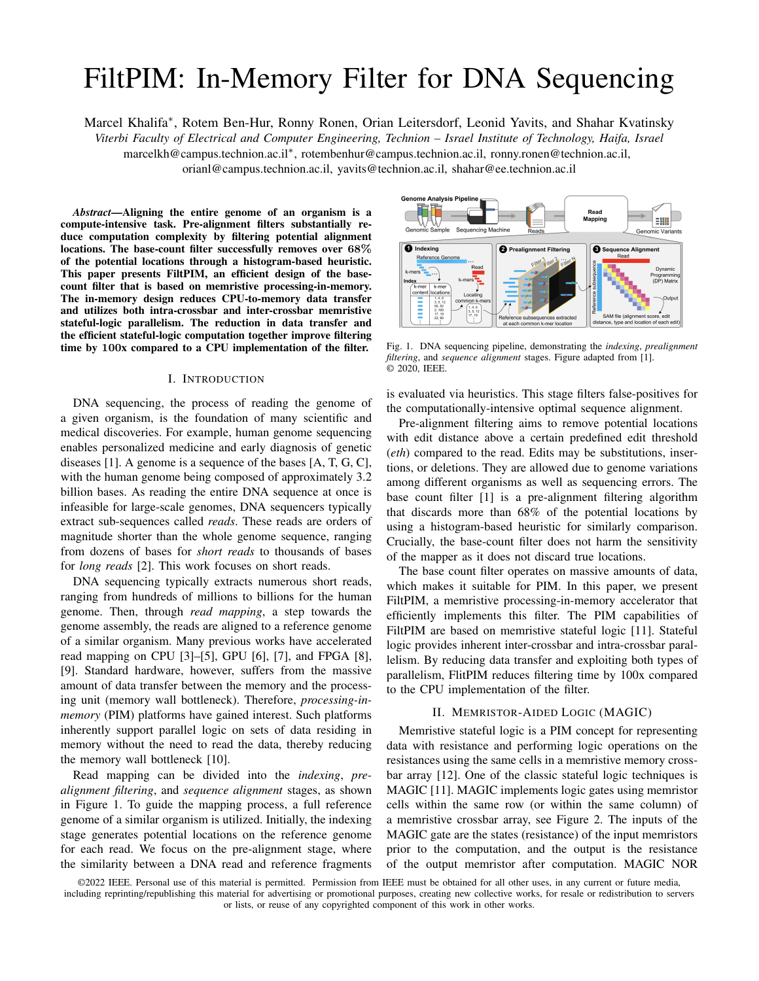# FiltPIM: In-Memory Filter for DNA Sequencing

Marcel Khalifa<sup>∗</sup> , Rotem Ben-Hur, Ronny Ronen, Orian Leitersdorf, Leonid Yavits, and Shahar Kvatinsky

*Viterbi Faculty of Electrical and Computer Engineering, Technion – Israel Institute of Technology, Haifa, Israel*

marcelkh@campus.technion.ac.il<sup>∗</sup> , rotembenhur@campus.technion.ac.il, ronny.ronen@technion.ac.il,

orianl@campus.technion.ac.il, yavits@technion.ac.il, shahar@ee.technion.ac.il

*Abstract*—Aligning the entire genome of an organism is a compute-intensive task. Pre-alignment filters substantially reduce computation complexity by filtering potential alignment locations. The base-count filter successfully removes over 68% of the potential locations through a histogram-based heuristic. This paper presents FiltPIM, an efficient design of the basecount filter that is based on memristive processing-in-memory. The in-memory design reduces CPU-to-memory data transfer and utilizes both intra-crossbar and inter-crossbar memristive stateful-logic parallelism. The reduction in data transfer and the efficient stateful-logic computation together improve filtering time by 100x compared to a CPU implementation of the filter.

### I. INTRODUCTION

DNA sequencing, the process of reading the genome of a given organism, is the foundation of many scientific and medical discoveries. For example, human genome sequencing enables personalized medicine and early diagnosis of genetic diseases [\[1\]](#page-3-0). A genome is a sequence of the bases [A, T, G, C], with the human genome being composed of approximately 3.2 billion bases. As reading the entire DNA sequence at once is infeasible for large-scale genomes, DNA sequencers typically extract sub-sequences called *reads*. These reads are orders of magnitude shorter than the whole genome sequence, ranging from dozens of bases for *short reads* to thousands of bases for *long reads* [\[2\]](#page-3-1). This work focuses on short reads.

DNA sequencing typically extracts numerous short reads, ranging from hundreds of millions to billions for the human genome. Then, through *read mapping*, a step towards the genome assembly, the reads are aligned to a reference genome of a similar organism. Many previous works have accelerated read mapping on CPU  $[3]$ – $[5]$ , GPU  $[6]$ ,  $[7]$ , and FPGA  $[8]$ , [\[9\]](#page-3-7). Standard hardware, however, suffers from the massive amount of data transfer between the memory and the processing unit (memory wall bottleneck). Therefore, *processing-inmemory* (PIM) platforms have gained interest. Such platforms inherently support parallel logic on sets of data residing in memory without the need to read the data, thereby reducing the memory wall bottleneck [\[10\]](#page-3-8).

Read mapping can be divided into the *indexing*, *prealignment filtering*, and *sequence alignment* stages, as shown in Figure [1.](#page-0-0) To guide the mapping process, a full reference genome of a similar organism is utilized. Initially, the indexing stage generates potential locations on the reference genome for each read. We focus on the pre-alignment stage, where the similarity between a DNA read and reference fragments



<span id="page-0-0"></span>Fig. 1. DNA sequencing pipeline, demonstrating the *indexing*, *prealignment filtering*, and *sequence alignment* stages. Figure adapted from [\[1\]](#page-3-0). © 2020, IEEE.

is evaluated via heuristics. This stage filters false-positives for the computationally-intensive optimal sequence alignment.

Pre-alignment filtering aims to remove potential locations with edit distance above a certain predefined edit threshold (*eth*) compared to the read. Edits may be substitutions, insertions, or deletions. They are allowed due to genome variations among different organisms as well as sequencing errors. The base count filter [\[1\]](#page-3-0) is a pre-alignment filtering algorithm that discards more than 68% of the potential locations by using a histogram-based heuristic for similarly comparison. Crucially, the base-count filter does not harm the sensitivity of the mapper as it does not discard true locations.

The base count filter operates on massive amounts of data, which makes it suitable for PIM. In this paper, we present FiltPIM, a memristive processing-in-memory accelerator that efficiently implements this filter. The PIM capabilities of FiltPIM are based on memristive stateful logic [\[11\]](#page-3-9). Stateful logic provides inherent inter-crossbar and intra-crossbar parallelism. By reducing data transfer and exploiting both types of parallelism, FlitPIM reduces filtering time by 100x compared to the CPU implementation of the filter.

### II. MEMRISTOR-AIDED LOGIC (MAGIC)

<span id="page-0-1"></span>Memristive stateful logic is a PIM concept for representing data with resistance and performing logic operations on the resistances using the same cells in a memristive memory crossbar array [\[12\]](#page-3-10). One of the classic stateful logic techniques is MAGIC [\[11\]](#page-3-9). MAGIC implements logic gates using memristor cells within the same row (or within the same column) of a memristive crossbar array, see Figure [2.](#page-1-0) The inputs of the MAGIC gate are the states (resistance) of the input memristors prior to the computation, and the output is the resistance of the output memristor after computation. MAGIC NOR

<sup>©2022</sup> IEEE. Personal use of this material is permitted. Permission from IEEE must be obtained for all other uses, in any current or future media, including reprinting/republishing this material for advertising or promotional purposes, creating new collective works, for resale or redistribution to servers or lists, or reuse of any copyrighted component of this work in other works.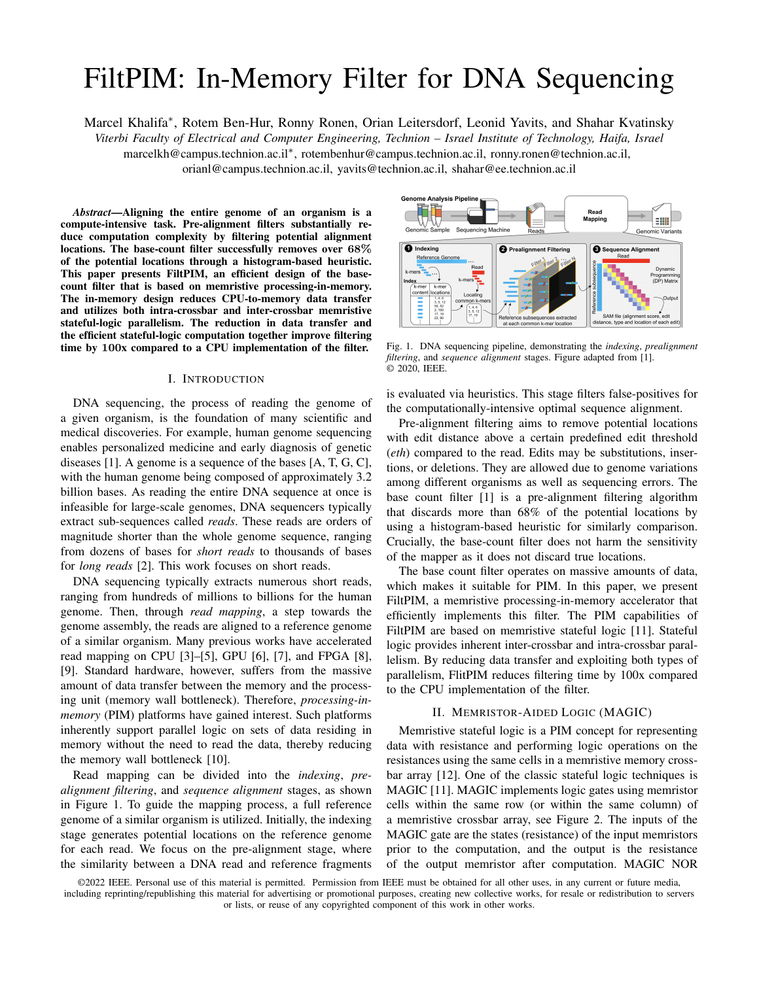

Fig. 2. (a) MAGIC NOR gate. (b) Parallel mapping of the MAGIC NOR gate to crossbar array rows, and (c) parallel computation across crossbars.

<span id="page-1-0"></span>

<span id="page-1-2"></span>Fig. 3. Calculating the popcount of a 4-bit column using MAGIC NOR/NOT.

is executed in two steps (clock cycles): (1) initializing the output memristor to logical '1' (low resistance), (2) applying a voltage  $V_q$  across the gate.

MAGIC supports inherent parallelism as the same in-row gate can be performed in parallel across multiple rows (see Figure [2\(](#page-1-0)b)) and across multiple crossbars (see Figure [2\(](#page-1-0)c)). Table [I](#page-1-1) lists different operations that are implemented using MAGIC NOR gates and specifies the number of cycles they require per single bit operands (initialization cycles are not included, as different initialization can be executed in parallel in the same clock cycle [\[13\]](#page-3-11)). All operations, except *Popcount* (count 1's in a given column), are straightforward.

Popcount is a special case of the reduction algorithm introduced by Ronen *et al.* [\[14\]](#page-4-0). The algorithm is based on a recursive-tree technique that pairs up numbers and accumulates them in parallel, as seen in Figure [3.](#page-1-2) The first iteration is to add each two vertically adjacent numbers by aligning them in the same row (steps 1a, 1b, 1c in Figure [3\)](#page-1-2), and then summing them (step 2). We iteratively continue with summing the vertically adjacent results (steps 3a, 3b, 4). In the last iteration, we will the sum of all bits residing at the end of the first row. A popcount of 100 bits requires 414 cycles.

## III. BASE COUNT FILTERING

The base-count filter introduced by Wendi *et al.* [\[17\]](#page-4-1), aims to discard locations that have more than eth (editthreshold) edits. The filter is based on comparing the basecount histograms of the read and the potential location. For each base type  $B \supseteq [A, T, G, C]$ , the base error is defined as the absolute value of the count differences for the base. These base errors are accumulated to receive a single error. If that error is greater than  $2 \text{ } eth$ , then the read and the potential location must have an edit distance of at least eth

TABLE I MAGIC OPERATIONS

<span id="page-1-1"></span>

| Operation                 | Cycles/bit      | <b>Notes</b>                              |
|---------------------------|-----------------|-------------------------------------------|
| NOR/NOT                   |                 | NOT is a 1-input MAGIC NOR                |
| Copy                      |                 | $\overline{\text{NOT}(\text{NOT}(cell))}$ |
| Half Adder                |                 | [15]                                      |
| N-bit Adder               | $9 \cdot N + 1$ | [14]                                      |
| N-bit Subtractor          | $9 \cdot N + 1$ | [16]                                      |
| Popcount for 100 bits     | 414             | Section II                                |
| $N$ -bit $MUX(X; Y; sel)$ | 4 · N           | $((x_i + sei')' + (y_i + sei')')'$        |

and thus the potential location is discarded. As histograms are not influenced by permutation, then the heuristic does not remove all locations with more than *eth* errors.

CPU implementations of the filter, such as GASSST [\[18\]](#page-4-4), limit the comparison to a sub-sequence of the read to reduce computation complexity. In FiltPIM, we exploit the parallelism of the memristive crossbars to compare base count for the entire read, thus ensuring higher precision (higher number of discarded locations) while reducing the execution time.

To evaluate the efficiency of the filter, we incorporate a CPU implementation of the algorithm into *mrFAST* [\[19\]](#page-4-5), a state-of-the-art read mapping tool. Various human-genome data-sets with 100-base reads were considered: *ERR240726 1*,  $ERR240727_1$  $ERR240727_1$ , and  $ERR240730_1^1$ . The filter successfully discards more than 68% of *all potential locations*, while not affecting the sensitivity of the mapper as no true locations were discarded.

## <span id="page-1-4"></span>IV. BASE-COUNT FILTERING WITHIN A MEMRISTIVE MEMORY ARRAY

In this section, we demonstrate an implementation of the filtering algorithm within a single memristive crossbar array. The array is structured to support reads of length up to 100 bases, yet it can be expanded to support other lengths.

We consider 128x256 arrays. 128 rows allow pre-storage of 100 bases of a reference genome within a column while reserving the remaining cells for temporary storage. The 256 columns enable pre-storage of a significant portion of the reference genome within each array:  $65 \quad 100 = 6500 \; bases,$ implying 130 columns as two adjacent bits are used to represent each base. An array is selected to participate in the filtering only when a fragment of the sequence containing the potential location fully resides within that array. The selected array receives the base-count histogram of the read (the number of occurrences of each base type [A, G, C, T]) and the exact potential location to be checked (a total of  $4 \quad 7 + 32 = 60 \; bits$ , and returns *true* if the location is to be discarded (returns 32 *bits* location  $+ 1$  *bit* result). To check the location, a series of operations inside the array are executed (see Figure [4\)](#page-2-0):

*Step 1:* For each base type *B*, the number of occurrences for *B* in the read,  $R_B$ , is stored to reserved cells in the array. 2 cycles to store each value. *8 cycles in total*.

<span id="page-1-3"></span> $<sup>1</sup>$  Available at www.ebi.ac.uk/ena/browser.</sup>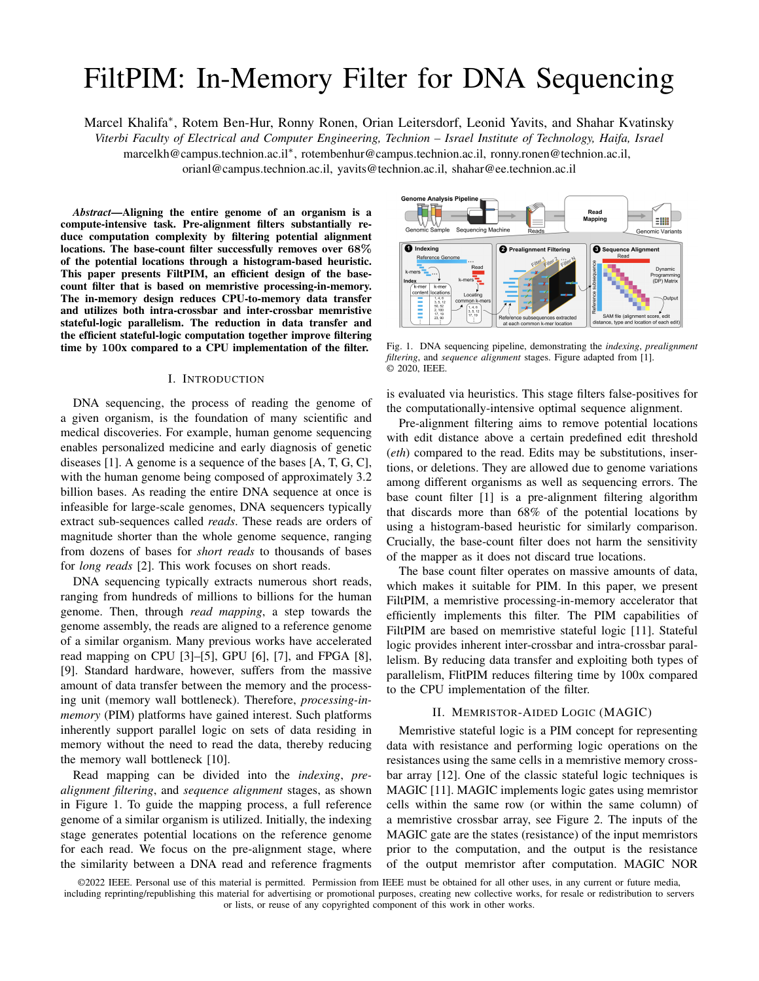

<span id="page-2-0"></span>Fig. 4. Base-count filtering within a memristive memory array. The steps in black are explained in detail in Section [IV.](#page-1-4)

*Step 2:* A NOT operation is performed on the reference genome fragment of length read\_length, starting at potential location, to copy it (inverted) to column *P*. It is done in two steps, as the bases of the sub-sequence may span over two different 2-bit columns. Note that the bases will not overlap horizontally (as the number of bases in each column is each to the read length). *4 cycles in total*. *Step 3:* For each base type *B*, *P* is compared against  $NOT(B)$ . Each base is represented by two bits, as follows: A="00", T="01", G="10", C="11". For each type *B*, a different function is performed to compare a base against it, as listed in Table [II.](#page-2-1) *6 cycles in total*.

*Step 4:* For each base type *B*, the matches of *B* in *P* are counted by popcounting the 100-bit columns computed in step 3. *1656 cycles in total*.

*Step 5:* For all base types, the base counts in a potential location's sequence and in the read are aligned by copying the results from step 4 to column *X*. Two NOTs are performed to copy each result. *8 cycles in total*.

*Step 6:* For all base types, in parallel, perform  $S_B$   $R_B$ and then compute their 2's complement  $(R_B S_B)$  by inverting all bits followed by performing Half Adder *(HA) 8 times* along the bits. *111 cycles in total*.

*Step 7:* For all base types, in parallel, calculate  $i_{\text{B}}$  $R_B$  by choosing the non-negative value between both values calculated in step 6. To do this, we apply a MUX operation (see Table [I\)](#page-1-1), where the *most significant bit* (msb) of the result in column  $Y_1$  is the selector. The result in column  $Y_2$  is *X* and the result in column  $Y_1$  is *Y*. If, for example, the selector is '0'  $(msb_{(S_B \ R_B)} = \sqrt[\]{0})$ , we conclude that  $(S_B \ R_B) \ge 0$  and that this value shall be chosen. *28 cycles in total*.

TABLE II BASE COMPARISONS

<span id="page-2-1"></span>

| Compare "ab" | $\#Cycles$        | Function            | <b>Notes</b>     |
|--------------|-------------------|---------------------|------------------|
| against      |                   |                     |                  |
| NOT(A)       | $\mathbf{\Omega}$ | NOR(NOR(a), NOR(b)) |                  |
| NOT(T)       |                   | NOR(NOR(a), b)      | $NOR(a)$ already |
|              |                   |                     | computed         |
| NOT(G)       |                   | NOR(a, NOR(b))      | NOR(b) already   |
|              |                   |                     | computed         |
| NOT(C)       |                   | NOR(a, b)           |                  |

*Steps 8-11:* Addition is performed between all differences in counts (four values in column Z). This is performed in two iterations. In each iteration each two vertically adjacent values are aligned in the same row, and then full-adder *(FA)* is performed. *153 cycles in total.*

*Step 12:* The sum of all differences in count is subtracted from the pre-defined constant (2 eth). *72 cycles in total*. *Step 13:* Read out the msb of the final result of step 12. *1 cycle in total.* If the msb of the result is '1', meaning the sum of differences in counts is greater than twice the error threshold, then the potential location is discarded.

In summary, using in-crossbar array operations, the validity of a potential location for a given read can be checked in *less than 3000 MAGIC-NOR cycles* including initialization cycles (less than 2000 cycles without initialization cycles).

## V. EVALUATION

To evaluate FiltPIM, we compare its performance against a CPU-based implementation of an equivalent base-count filter. The advantage of FiltPIM originates from its massive intracrossbar and inter-crossbar parallelism, and from the reduced CPU-to-memory data transfer.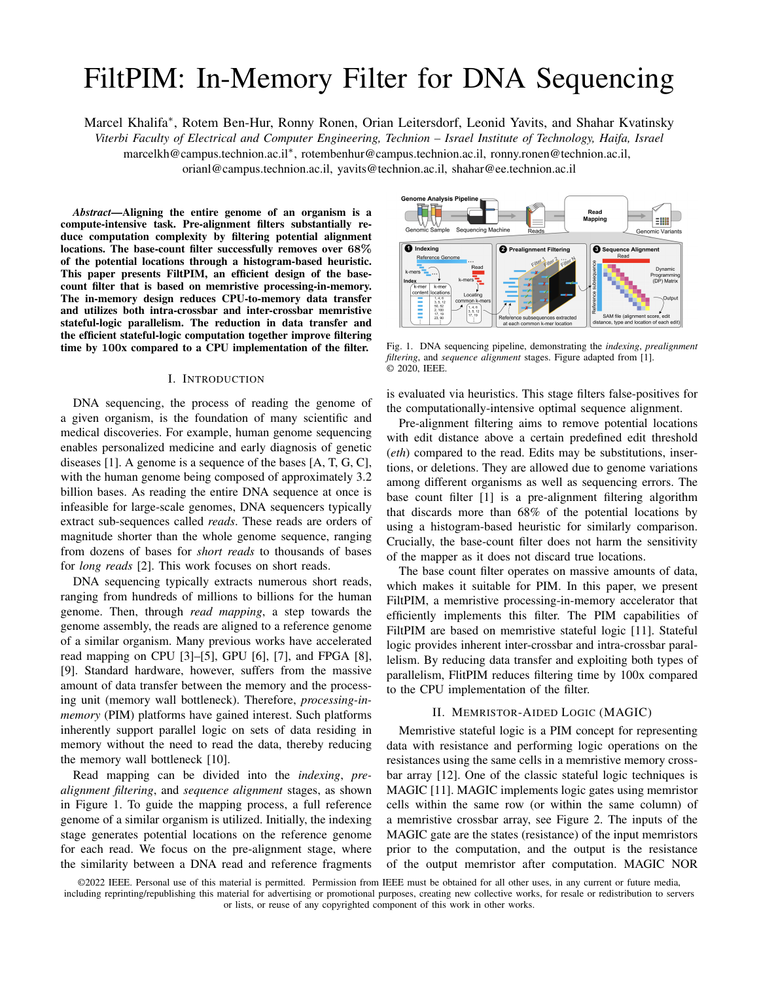<span id="page-3-12"></span>

|              | Compute                             | <b>Notes</b>       | FiltPIM           |
|--------------|-------------------------------------|--------------------|-------------------|
| a            | Cycle time (ns)                     | [14]               | 10                |
| h            | <b>PIM Crossbars</b>                |                    | 500:000           |
| c            | Latency per iteration (cycles)      |                    | 3:000             |
| d            | Latency per iteration (ns)          | $a \times c$       | 30:000            |
| e            | # Potential locations               |                    | $46 \cdot 10^{9}$ |
| f            | # Iterations                        | $5 \times (e = b)$ | 460:000           |
| g            | Total latency (sec)                 | $d \times f$       | 13.8              |
|              | <b>Transferred Data</b>             |                    |                   |
| h            | Transfer per potential location (B) | data in&out        | $8 + 5 = 13$      |
| Ť            | Data transfer rate (GB/sec)         |                    | 10                |
| $\mathbf{1}$ | Total data transferred (GB)         | $h \times e$       | 598               |
| k            | Data transfer latency (sec)         | $=$ İ              | 59.8              |
|              | Total Time (sec)                    | $k + q$            | 73.6              |

TABLE III EVALUATION RESULTS FOR FILTPIM

<sup>1</sup> Iterating 5 times the average locations per crossbar  $(5 \cdot 46G=500K=$  $460K$ ) in each crossbar, covers over 99% of all locations, decreasing the filter's efficiency by less than 0.7% (inferred from the locations distribution among the crossbars).

The human genome consists of approximately 3.2 billion bases. We pre-store the genome in 500,000 crossbars, each containing 64+1=65 read-size (100 bases) *fragments*. The genome portion within a crossbar has dimensions 100 rows 130 *columns*. The first and the last fragments in each crossbar overlap with the neighboring crossbars to guarantee that each potential-location fragment resides in a single crossbar.

A set of human-genome reads (*ERR240727 1*) is considered. When aligning the reads against a human genome reference (*humanG1Kv37*), the indexing stage of mrFast provides a total of 46 billion potential locations.

To evaluate the improvement of FiltPIM over CPU, we developed an optimized standalone implementation for the base-count filter, and measured the latency for checking 46 billion potential locations. The tool was executed on an Intel(R) Xeon(R) CPU E5-2683 v4 at 2.1 GHz, with  $256GB$ of DRAM, 2400MHz DDR4, 2x 1TB HD and 480GB SSD. We observed total latency of approximately 7360 seconds, of which 70% are for data transfer and 30% for computation.

We analyzed FiltPIM performance using the algorithm from Section [IV.](#page-1-4) We assumed the same CPU-to-memory interface (2400MHz DDR4). The actual data transfer rate may depend on the full architecture of FiltPIM, which is out of scope for this paper. Therefore, we assumed 10 GB/s, about half of the peak performance rate for DDR4 2400 (19.2 GB/s). Table [III](#page-3-12) summarizes the results.

The results show that FiltPIM is faster than the CPU on both the computation time (160x) and the data transfer time (86x). In total, it reaches a speedup of 100x over the CPU.

We use the Bitlet model [\[14\]](#page-4-0) to evaluate the power consumption of FiltPIM. According to Bitlet, simultaneous operation of 1000 arrays, each using up to 100 rows, consumes 1W. If we set the power budget limit at 100W, only 100K arrays can operate simultaneously. This increases the compute (total) time by 5x (1.75x). Figure [5](#page-3-13) shows how increasing the number of arrays working in parallel in FiltPIM affects its performance. For over 200 working arrays, FiltPIM outperforms the CPU.



<span id="page-3-13"></span>Fig. 5. Execution time of two platforms running the same filter, the CPU and FiltPIM. Lower latency means better performance.

## VI. CONCLUSION

A base count filter improves the performance of DNA read mapping by reducing the work for the computation-intensive sequence alignment stage. This paper introduces FiltPIM, a novel PIM base-count filter that accelerates filtering by 100x compared to a CPU based base-count filter. This gain is due to reduction in CPU-to-memory data transfer and to the massive parallelism enabled by memristive crossbars. In future work, we aim to build a complete architecture for FiltPIM and measure its benefit to the entire read mapping pipeline.

#### VII. ACKNOWLEDGMENT

This work was supported by the European Research Council through the European Union's Horizon 2020 Research and Innovation Program under Grant 757259.

## **REFERENCES**

- <span id="page-3-0"></span>[1] M. Alser *et al.*, "Accelerating genome analysis: A primer on an ongoing journey," *IEEE Micro*, 2020.
- <span id="page-3-1"></span>[2] S. Goodwin *et al.*, "Coming of age: ten years of next-generation sequencing technologies," *Nature Reviews Genetics*, 2016.
- <span id="page-3-2"></span>[3] J. Daily, "Parasail: SIMD C library for global, semi-global, and local pairwise sequence alignments," *BMC bioinformatics*, 2016.
- [4] R. Li *et al.*, "SOAP: short oligonucleotide alignment program," *Bioinformatics*, 2008.
- <span id="page-3-3"></span>[5] B. Langmead et al., "Ultrafast and memory-efficient alignment of short dna sequences to the human genome," *Genome biology*, 2009.
- <span id="page-3-4"></span>[6] N. Ahmed *et al.*, "GASAL2: a gpu accelerated sequence alignment library for high-throughput ngs data," *BMC bioinformatics*, 2019.
- <span id="page-3-5"></span>[7] A. Zeni *et al.*, "LOGAN: High-performance gpu-based x-drop long-read alignment," in *IPDPS*, 2020.
- <span id="page-3-6"></span>[8] M. Alser *et al.*, "GateKeeper: a new hardware architecture for accelerating pre-alignment in DNA short read mapping," *Bioinformatics*, 2017.
- <span id="page-3-7"></span>[9] P. Chen *et al.*, "Accelerating the next generation long read mapping with the FPGA-based system," *IEEE/ACM TCBB*, 2014.
- <span id="page-3-8"></span>[10] S. Kvatinsky, "Real processing-in-memory with memristive memory processing unit (mmpu)," in *ASAP*, vol. 2160-052X, 2019, pp. 142–148.
- <span id="page-3-9"></span>[11] S. Kvatinsky *et al.*, "MAGIC—memristor-aided logic," *IEEE TCAS-II*, vol. 61, no. 11, pp. 895–899, 2014.
- <span id="page-3-10"></span>[12] J. Reuben et al., "Memristive logic: A framework for evaluation and comparison," in *PATMOS*, 2017.
- <span id="page-3-11"></span>[13] R. Ben-Hur *et al.*, "SIMPLER MAGIC: synthesis and mapping of inmemory logic executed in a single row to improve throughput," *IEEE TCAD*, 2020.